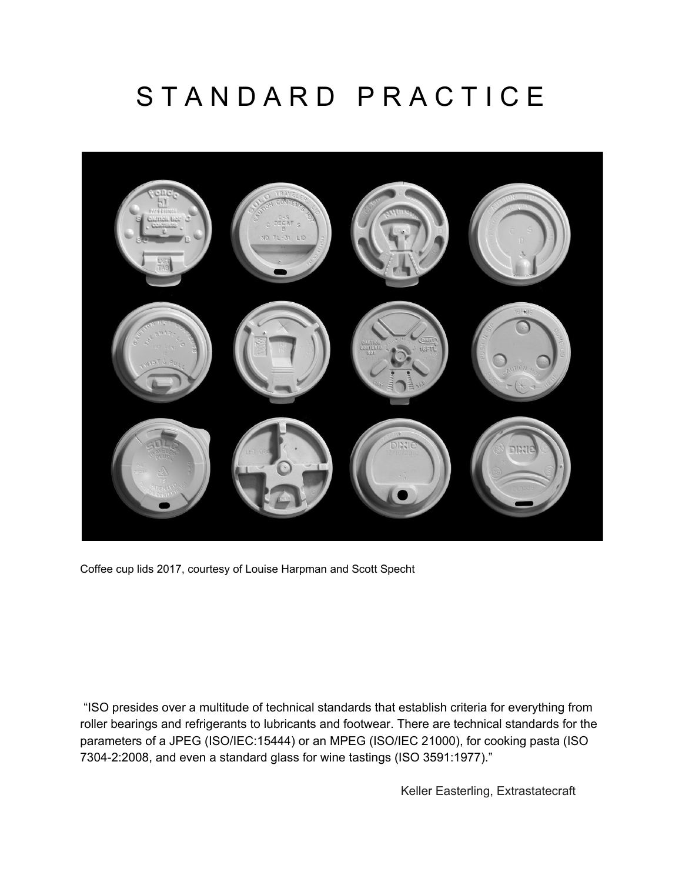# STANDARD PRACTICE



Coffee cup lids 2017, courtesy of Louise Harpman and Scott Specht

"ISO presides over a multitude of technical standards that establish criteria for everything from roller bearings and refrigerants to lubricants and footwear. There are technical standards for the parameters of a JPEG (ISO/IEC:15444) or an MPEG (ISO/IEC 21000), for cooking pasta (ISO 7304-2:2008, and even a standard glass for wine tastings (ISO 3591:1977)."

Keller Easterling, Extrastatecraft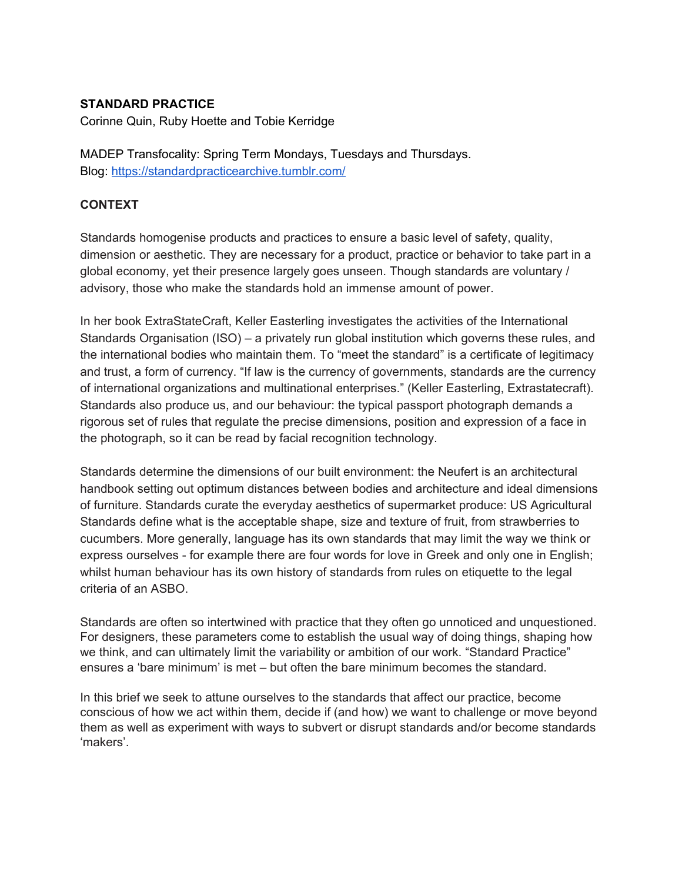## **STANDARD PRACTICE**

Corinne Quin, Ruby Hoette and Tobie Kerridge

MADEP Transfocality: Spring Term Mondays, Tuesdays and Thursdays. Blog[:](https://standardpracticearchive.tumblr.com/) <https://standardpracticearchive.tumblr.com/>

## **CONTEXT**

Standards homogenise products and practices to ensure a basic level of safety, quality, dimension or aesthetic. They are necessary for a product, practice or behavior to take part in a global economy, yet their presence largely goes unseen. Though standards are voluntary / advisory, those who make the standards hold an immense amount of power.

In her book ExtraStateCraft, Keller Easterling investigates the activities of the International Standards Organisation (ISO) – a privately run global institution which governs these rules, and the international bodies who maintain them. To "meet the standard" is a certificate of legitimacy and trust, a form of currency. "If law is the currency of governments, standards are the currency of international organizations and multinational enterprises." (Keller Easterling, Extrastatecraft). Standards also produce us, and our behaviour: the typical passport photograph demands a rigorous set of rules that regulate the precise dimensions, position and expression of a face in the photograph, so it can be read by facial recognition technology.

Standards determine the dimensions of our built environment: the Neufert is an architectural handbook setting out optimum distances between bodies and architecture and ideal dimensions of furniture. Standards curate the everyday aesthetics of supermarket produce: US Agricultural Standards define what is the acceptable shape, size and texture of fruit, from strawberries to cucumbers. More generally, language has its own standards that may limit the way we think or express ourselves - for example there are four words for love in Greek and only one in English; whilst human behaviour has its own history of standards from rules on etiquette to the legal criteria of an ASBO.

Standards are often so intertwined with practice that they often go unnoticed and unquestioned. For designers, these parameters come to establish the usual way of doing things, shaping how we think, and can ultimately limit the variability or ambition of our work. "Standard Practice" ensures a 'bare minimum' is met – but often the bare minimum becomes the standard.

In this brief we seek to attune ourselves to the standards that affect our practice, become conscious of how we act within them, decide if (and how) we want to challenge or move beyond them as well as experiment with ways to subvert or disrupt standards and/or become standards 'makers'.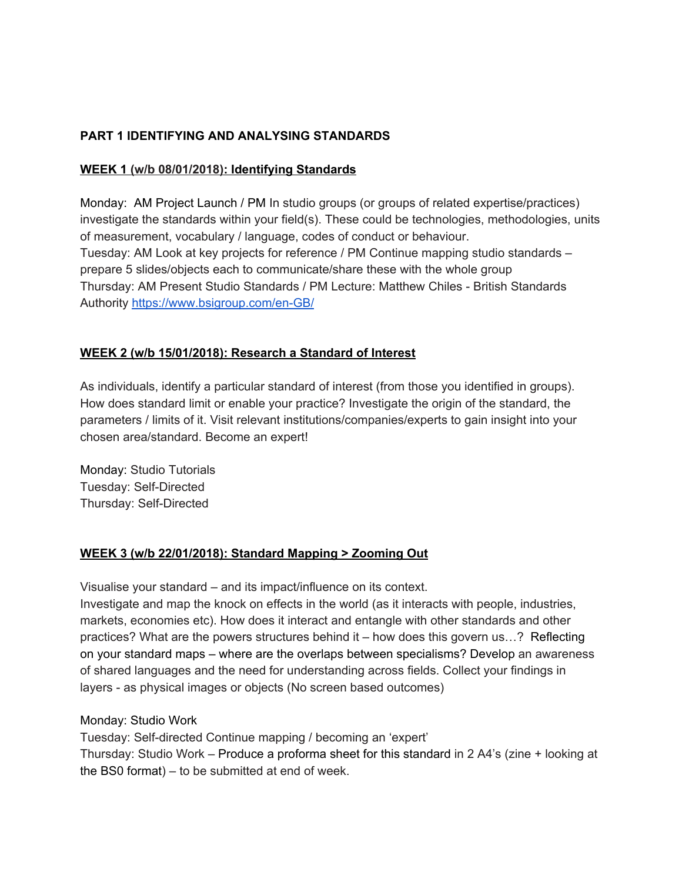# **PART 1 IDENTIFYING AND ANALYSING STANDARDS**

## **WEEK 1 (w/b 08/01/2018): Identifying Standards**

Monday: AM Project Launch / PM In studio groups (or groups of related expertise/practices) investigate the standards within your field(s). These could be technologies, methodologies, units of measurement, vocabulary / language, codes of conduct or behaviour. Tuesday: AM Look at key projects for reference / PM Continue mapping studio standards – prepare 5 slides/objects each to communicate/share these with the whole group Thursday: AM Present Studio Standards / PM Lecture: Matthew Chiles - British Standards Authority <https://www.bsigroup.com/en-GB/>

# **WEEK 2 (w/b 15/01/2018): Research a Standard of Interest**

As individuals, identify a particular standard of interest (from those you identified in groups). How does standard limit or enable your practice? Investigate the origin of the standard, the parameters / limits of it. Visit relevant institutions/companies/experts to gain insight into your chosen area/standard. Become an expert!

Monday: Studio Tutorials Tuesday: Self-Directed Thursday: Self-Directed

# **WEEK 3 (w/b 22/01/2018): Standard Mapping > Zooming Out**

Visualise your standard – and its impact/influence on its context.

Investigate and map the knock on effects in the world (as it interacts with people, industries, markets, economies etc). How does it interact and entangle with other standards and other practices? What are the powers structures behind it – how does this govern us…? Reflecting on your standard maps – where are the overlaps between specialisms? Develop an awareness of shared languages and the need for understanding across fields. Collect your findings in layers - as physical images or objects (No screen based outcomes)

Monday: Studio Work

Tuesday: Self-directed Continue mapping / becoming an 'expert'

Thursday: Studio Work – Produce a proforma sheet for this standard in 2 A4's (zine + looking at the BS0 format) – to be submitted at end of week.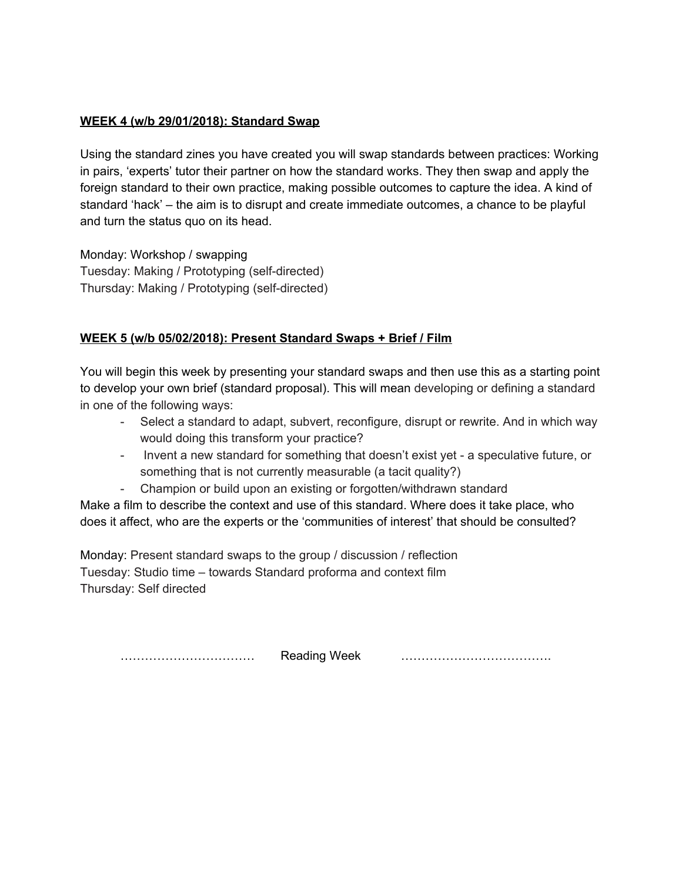## **WEEK 4 (w/b 29/01/2018): Standard Swap**

Using the standard zines you have created you will swap standards between practices: Working in pairs, 'experts' tutor their partner on how the standard works. They then swap and apply the foreign standard to their own practice, making possible outcomes to capture the idea. A kind of standard 'hack' – the aim is to disrupt and create immediate outcomes, a chance to be playful and turn the status quo on its head.

Monday: Workshop / swapping Tuesday: Making / Prototyping (self-directed) Thursday: Making / Prototyping (self-directed)

# **WEEK 5 (w/b 05/02/2018): Present Standard Swaps + Brief / Film**

You will begin this week by presenting your standard swaps and then use this as a starting point to develop your own brief (standard proposal). This will mean developing or defining a standard in one of the following ways:

- Select a standard to adapt, subvert, reconfigure, disrupt or rewrite. And in which way would doing this transform your practice?
- Invent a new standard for something that doesn't exist yet a speculative future, or something that is not currently measurable (a tacit quality?)
- Champion or build upon an existing or forgotten/withdrawn standard

Make a film to describe the context and use of this standard. Where does it take place, who does it affect, who are the experts or the 'communities of interest' that should be consulted?

Monday: Present standard swaps to the group / discussion / reflection Tuesday: Studio time – towards Standard proforma and context film Thursday: Self directed

…………………………… Reading Week ……………………………….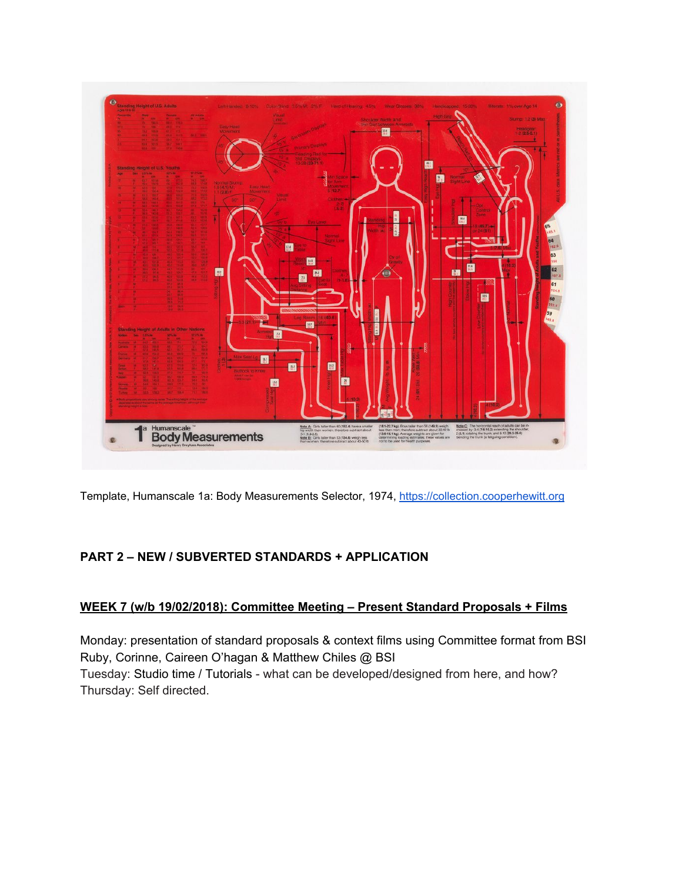

Template, Humanscale 1a: Body Measurements Selector, 1974, [https://collection.cooperhewitt.org](https://collection.cooperhewitt.org/)

# **PART 2 – NEW / SUBVERTED STANDARDS + APPLICATION**

#### **WEEK 7 (w/b 19/02/2018): Committee Meeting – Present Standard Proposals + Films**

Monday: presentation of standard proposals & context films using Committee format from BSI Ruby, Corinne, Caireen O'hagan & Matthew Chiles @ BSI Tuesday: Studio time / Tutorials - what can be developed/designed from here, and how? Thursday: Self directed.